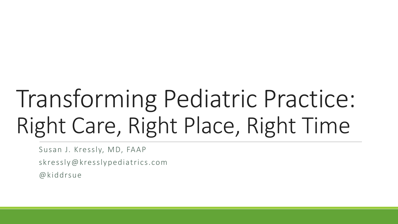# Transforming Pediatric Practice: Right Care, Right Place, Right Time

Susan J. Kressly, MD, FAAP

skressly@kresslypediatrics.com

@kiddrsue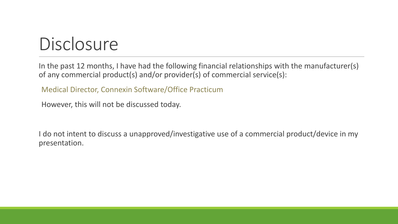#### **Disclosure**

In the past 12 months, I have had the following financial relationships with the manufacturer(s) of any commercial product(s) and/or provider(s) of commercial service(s):

Medical Director, Connexin Software/Office Practicum

However, this will not be discussed today.

I do not intent to discuss a unapproved/investigative use of a commercial product/device in my presentation.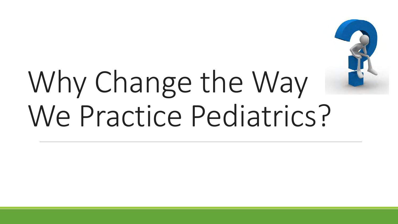

# Why Change the Way We Practice Pediatrics?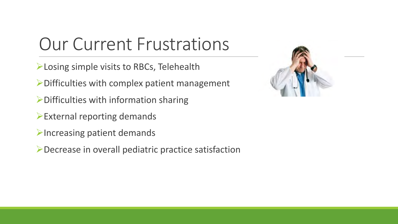#### Our Current Frustrations

- **Losing simple visits to RBCs, Telehealth**
- $\triangleright$  Difficulties with complex patient management
- $\triangleright$  Difficulties with information sharing
- External reporting demands
- $\blacktriangleright$  Increasing patient demands
- Decrease in overall pediatric practice satisfaction

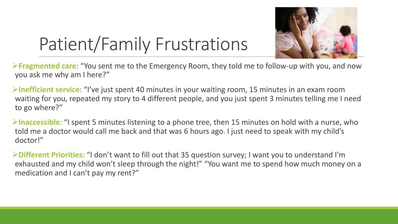

# Patient/Family Frustrations

**Fragmented care:** "You sent me to the Emergency Room, they told me to follow-up with you, and now you ask me why am I here?"

**Inefficient service:** "I've just spent 40 minutes in your waiting room, 15 minutes in an exam room waiting for you, repeated my story to 4 different people, and you just spent 3 minutes telling me I need to go where?"

**Inaccessible:** "I spent 5 minutes listening to a phone tree, then 15 minutes on hold with a nurse, who told me a doctor would call me back and that was 6 hours ago. I just need to speak with my child's doctor!"

**Different Priorities:** "I don't want to fill out that 35 question survey; I want you to understand I'm exhausted and my child won't sleep through the night!" "You want me to spend how much money on a medication and I can't pay my rent?"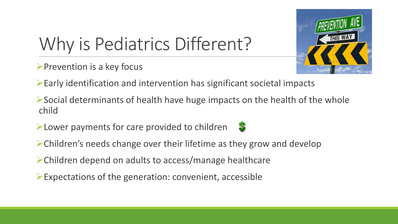

# Why is Pediatrics Different?

- $\triangleright$  Prevention is a key focus
- $\triangleright$  Early identification and intervention has significant societal impacts
- $\triangleright$  Social determinants of health have huge impacts on the health of the whole child
- Lower payments for care provided to children



- $\triangleright$  Children's needs change over their lifetime as they grow and develop
- Children depend on adults to access/manage healthcare
- $\triangleright$  Expectations of the generation: convenient, accessible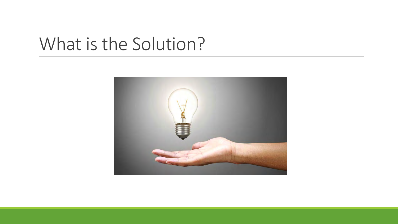#### What is the Solution?

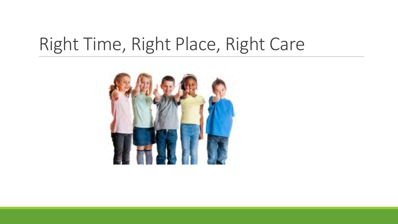#### Right Time, Right Place, Right Care

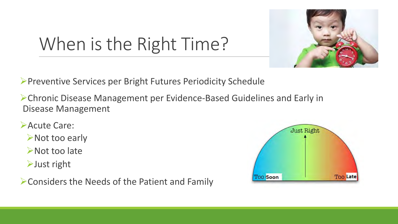

# When is the Right Time?

Preventive Services per Bright Futures Periodicity Schedule

Chronic Disease Management per Evidence-Based Guidelines and Early in Disease Management

- **Acute Care:** 
	- **≻Not too early**
	- **≻Not too late**
	- $\blacktriangleright$  Just right

Considers the Needs of the Patient and Family

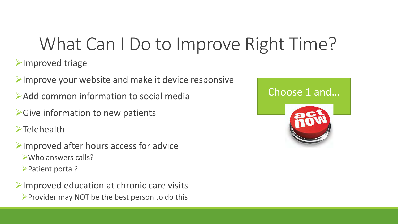#### What Can I Do to Improve Right Time?

**Example 2** Improved triage

 $\blacktriangleright$ Improve your website and make it device responsive

Add common information to social media

**► Give information to new patients** 

**Example 1** 

 $\blacktriangleright$  Improved after hours access for advice Who answers calls? **► Patient portal?** 

 $\triangleright$  Improved education at chronic care visits  $\triangleright$  Provider may NOT be the best person to do this



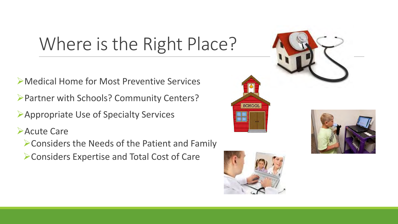# Where is the Right Place?

Medical Home for Most Preventive Services

Partner with Schools? Community Centers?

Appropriate Use of Specialty Services

**Acute Care** 

Considers the Needs of the Patient and Family

Considers Expertise and Total Cost of Care



**SCHOOL** 



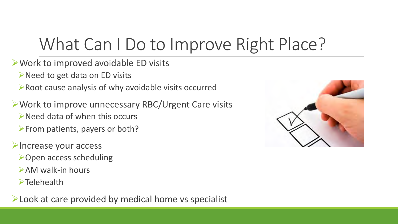#### What Can I Do to Improve Right Place?

- Work to improved avoidable ED visits
	- $\triangleright$  Need to get data on ED visits
	- Root cause analysis of why avoidable visits occurred
- Work to improve unnecessary RBC/Urgent Care visits  $\triangleright$  Need data of when this occurs
	- $\triangleright$  From patients, payers or both?
- **Elncrease your access** 
	- **≻Open access scheduling**
	- $\triangleright$  AM walk-in hours
	- $\blacktriangleright$ Telehealth
- **Example 2 Feliph 2 Feliph 2 Feliph 2 Feliph 2 Feliph 2 Feliph 2 Feliph 2 Feliph 2 Feliph 2 Feliph 2 Feliph 2 Feliph 2 Feliph 2 Feliph 2 Feliph 2 Feliph 2 Feliph 2 Feliph 2 Feliph 2 Feliph 2 Feliph 2 Feliph 2 Feliph 2 Feli**

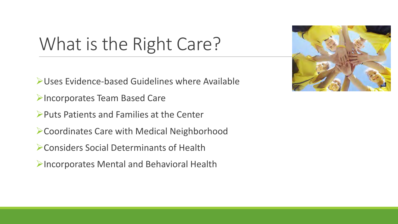#### What is the Right Care?

- Uses Evidence-based Guidelines where Available
- **Incorporates Team Based Care**
- $\triangleright$  Puts Patients and Families at the Center
- Coordinates Care with Medical Neighborhood
- Considers Social Determinants of Health
- Incorporates Mental and Behavioral Health

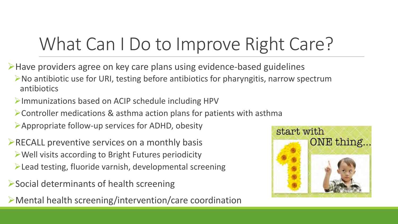### What Can I Do to Improve Right Care?

- Have providers agree on key care plans using evidence-based guidelines
	- $\triangleright$  No antibiotic use for URI, testing before antibiotics for pharyngitis, narrow spectrum antibiotics
	- Immunizations based on ACIP schedule including HPV
	- Controller medications & asthma action plans for patients with asthma
	- Appropriate follow-up services for ADHD, obesity
- $\triangleright$  RECALL preventive services on a monthly basis Well visits according to Bright Futures periodicity
	- Lead testing, fluoride varnish, developmental screening
- Social determinants of health screening
- Mental health screening/intervention/care coordination

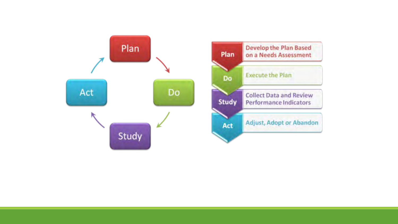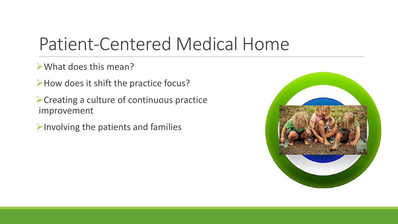#### Patient-Centered Medical Home

What does this mean?

How does it shift the practice focus?

Creating a culture of continuous practice improvement

 $\blacktriangleright$  Involving the patients and families

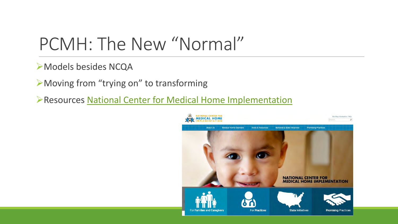#### PCMH: The New "Normal"

Models besides NCQA

Moving from "trying on" to transforming

Resources [National Center for Medical Home Implementation](https://medicalhomeinfo.aap.org/Pages/default.aspx)

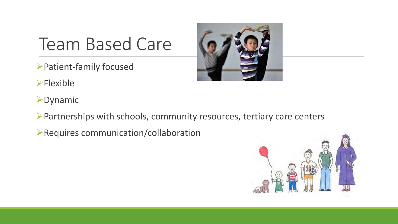#### Team Based Care

- Patient-family focused
- $\blacktriangleright$ Flexible
- **>Dynamic**
- Partnerships with schools, community resources, tertiary care centers
- Requires communication/collaboration



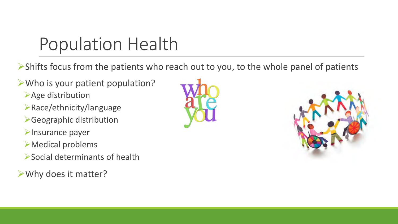#### Population Health

Shifts focus from the patients who reach out to you, to the whole panel of patients

- Who is your patient population?
	- **Age distribution**
	- Race/ethnicity/language
	- Geographic distribution
	- **>Insurance payer**
	- Medical problems
	- Social determinants of health
- Why does it matter?



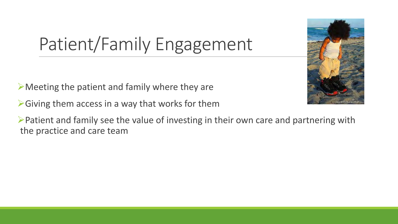# Patient/Family Engagement

 $\triangleright$  Meeting the patient and family where they are

 $\triangleright$  Giving them access in a way that works for them

 $\triangleright$  Patient and family see the value of investing in their own care and partnering with the practice and care team

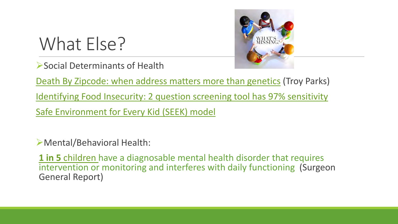#### What Else?





[Death By Zipcode: when address matters more than genetics](http://www.ama-assn.org/ama/ama-wire/post/death-zip-code-address-matters-genetics) (Troy Parks)

[Identifying Food Insecurity: 2 question screening tool has 97% sensitivity](http://www.aappublications.org/content/early/2015/10/23/aapnews.20151023-1)

[Safe Environment for Every Kid \(SEEK\) model](http://www.ncbi.nlm.nih.gov/pmc/articles/PMC3387892/)

Mental/Behavioral Health:

**1 in 5** [children](https://profiles.nlm.nih.gov/ps/retrieve/ResourceMetadata/NNBBHS) have a diagnosable mental health disorder that requires intervention or monitoring and interferes with daily functioning (Surgeon General Report)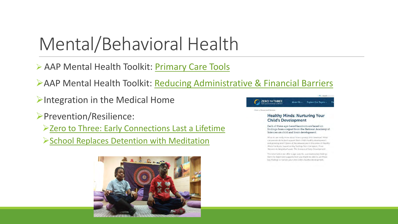#### Mental/Behavioral Health

- AAP Mental Health Toolkit: [Primary Care Tools](https://www.aap.org/en-us/advocacy-and-policy/aap-health-initiatives/Mental-Health/Pages/Primary-Care-Tools.aspx?nfstatus=401&nftoken=00000000-0000-0000-0000-000000000000&nfstatusdescription=ERROR:+No+local+token)
- AAP Mental Health Toolkit: [Reducing Administrative & Financial Barriers](https://www.aap.org/en-us/advocacy-and-policy/aap-health-initiatives/Mental-Health/Pages/Improving-Mental-Health-Services-in-Primary-Care.aspx?nfstatus=401&nftoken=00000000-0000-0000-0000-000000000000&nfstatusdescription=ERROR:+No+local+token)
- $\triangleright$ Integration in the Medical Home
- Prevention/Resilience:
	- [Zero to Three: Early Connections Last a Lifetime](https://www.zerotothree.org/resources/series/healthy-minds-nurturing-your-child-s-development)
	- [School Replaces Detention with Meditation](http://www.upworthy.com/this-school-replaced-detention-with-meditation-the-results-are-stunning)



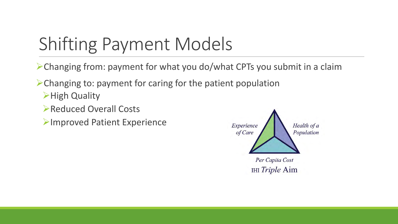#### Shifting Payment Models

Changing from: payment for what you do/what CPTs you submit in a claim

Changing to: payment for caring for the patient population

- **High Quality**
- Reduced Overall Costs
- Improved Patient Experience

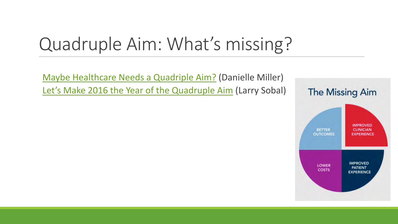#### Quadruple Aim: What's missing?

[Maybe Healthcare Needs a Quadriple](http://www.healthitoutcomes.com/doc/maybe-healthcare-needs-a-quadruple-aim-0001) Aim? (Danielle Miller) Let's Make 2016 the Year of the Quadruple Aim (Larry Sobal)

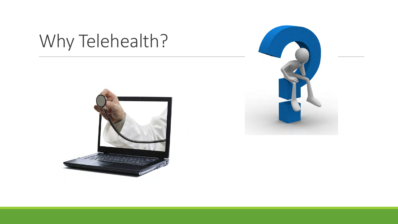# Why Telehealth?



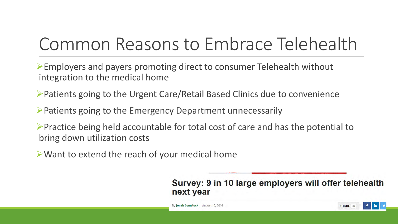# Common Reasons to Embrace Telehealth

Employers and payers promoting direct to consumer Telehealth without integration to the medical home

- Patients going to the Urgent Care/Retail Based Clinics due to convenience
- $\triangleright$  Patients going to the Emergency Department unnecessarily
- $\triangleright$  Practice being held accountable for total cost of care and has the potential to bring down utilization costs
- Want to extend the reach of your medical home

Survey: 9 in 10 large employers will offer telehealth next year

SHARE 49

By Jonah Comstock | August 10, 2016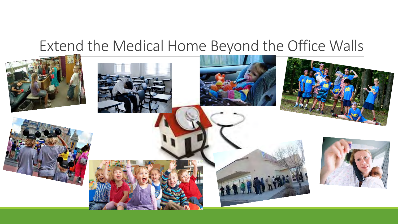#### Extend the Medical Home Beyond the Office Walls

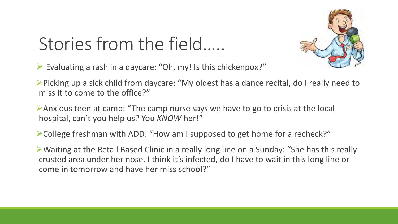# Stories from the field…..

 $\triangleright$  Evaluating a rash in a daycare: "Oh, my! Is this chickenpox?"

Picking up a sick child from daycare: "My oldest has a dance recital, do I really need to miss it to come to the office?"

Anxious teen at camp: "The camp nurse says we have to go to crisis at the local hospital, can't you help us? You *KNOW* her!"

College freshman with ADD: "How am I supposed to get home for a recheck?"

Waiting at the Retail Based Clinic in a really long line on a Sunday: "She has this really crusted area under her nose. I think it's infected, do I have to wait in this long line or come in tomorrow and have her miss school?"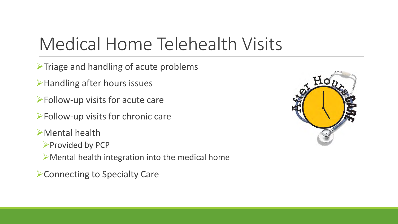#### Medical Home Telehealth Visits

 $\triangleright$  Triage and handling of acute problems

**≻Handling after hours issues** 

 $\blacktriangleright$  Follow-up visits for acute care

Follow-up visits for chronic care

Mental health

▶ Provided by PCP

 $\triangleright$  Mental health integration into the medical home

**≻Connecting to Specialty Care** 

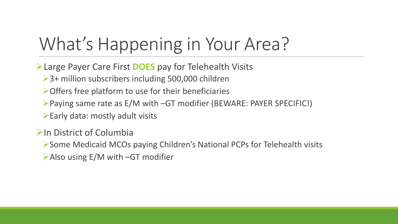#### What's Happening in Your Area?

Large Payer Care First **DOES** pay for Telehealth Visits

**→ 3+ million subscribers including 500,000 children** 

 $\triangleright$  Offers free platform to use for their beneficiaries

Paying same rate as E/M with –GT modifier (BEWARE: PAYER SPECIFIC!)

 $\blacktriangleright$  Early data: mostly adult visits

 $\triangleright$ In District of Columbia

Some Medicaid MCOs paying Children's National PCPs for Telehealth visits

 $\blacktriangleright$  Also using E/M with –GT modifier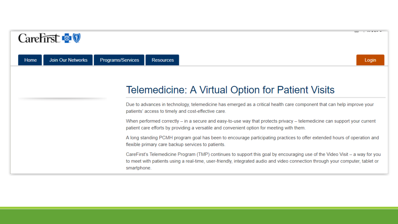| Carefirst <b>&amp;</b>           |                                                                                                                                                                                                                                                                              | $\overline{1}$ research<br>$-$ |
|----------------------------------|------------------------------------------------------------------------------------------------------------------------------------------------------------------------------------------------------------------------------------------------------------------------------|--------------------------------|
| <b>Join Our Networks</b><br>Home | Programs/Services<br><b>Resources</b>                                                                                                                                                                                                                                        | Login                          |
|                                  | Telemedicine: A Virtual Option for Patient Visits                                                                                                                                                                                                                            |                                |
|                                  | Due to advances in technology, telemedicine has emerged as a critical health care component that can help improve your<br>patients' access to timely and cost-effective care.                                                                                                |                                |
|                                  | When performed correctly – in a secure and easy-to-use way that protects privacy – telemedicine can support your current<br>patient care efforts by providing a versatile and convenient option for meeting with them.                                                       |                                |
|                                  | A long standing PCMH program goal has been to encourage participating practices to offer extended hours of operation and<br>flexible primary care backup services to patients.                                                                                               |                                |
|                                  | CareFirst's Telemedicine Program (TMP) continues to support this goal by encouraging use of the Video Visit – a way for you<br>to meet with patients using a real-time, user-friendly, integrated audio and video connection through your computer, tablet or<br>smartphone. |                                |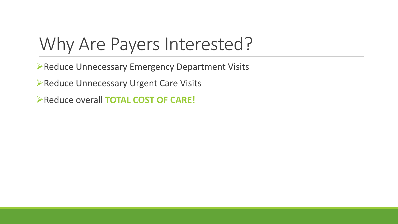#### Why Are Payers Interested?

**Reduce Unnecessary Emergency Department Visits** 

**Reduce Unnecessary Urgent Care Visits** 

**Reduce overall TOTAL COST OF CARE!**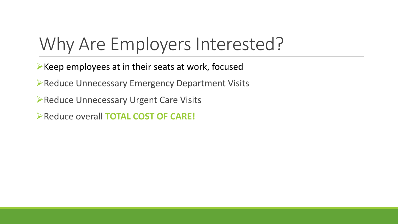#### Why Are Employers Interested?

 $\triangleright$  Keep employees at in their seats at work, focused

**EXECUTE: 2018 PREDUCE Unnecessary Emergency Department Visits** 

**Reduce Unnecessary Urgent Care Visits** 

Reduce overall **TOTAL COST OF CARE!**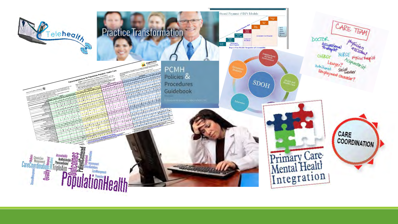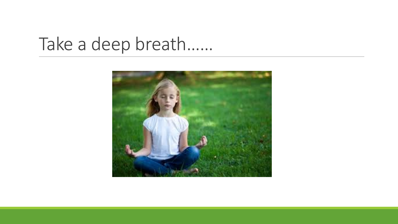#### Take a deep breath……

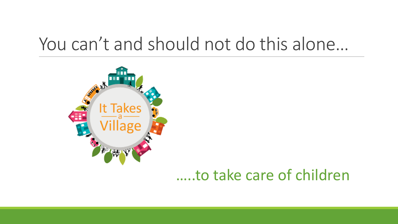#### You can't and should not do this alone…



#### …..to take care of children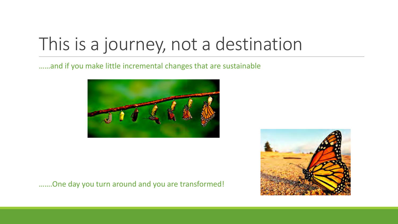#### This is a journey, not a destination

……and if you make little incremental changes that are sustainable





…….One day you turn around and you are transformed!